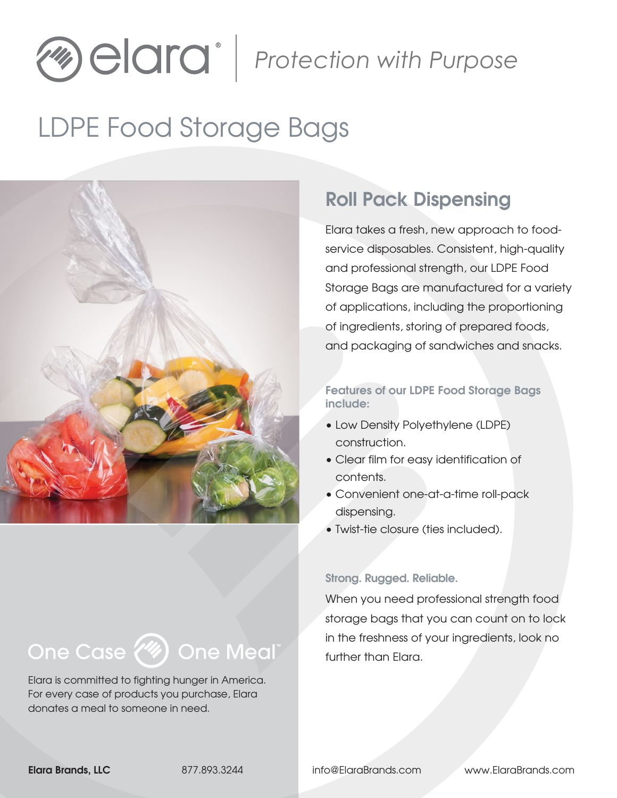# *Pione Algebra Comma Purpose*

# LDPE Food Storage Bags



## Roll Pack Dispensing

Elara takes a fresh, new approach to foodservice disposables. Consistent, high-quality and professional strength, our LDPE Food Storage Bags are manufactured for a variety of applications, including the proportioning of ingredients, storing of prepared foods, and packaging of sandwiches and snacks.

#### Features of our LDPE Food Storage Bags include:

- Low Density Polyethylene (LDPE) construction.
- Clear film for easy identification of contents.
- Convenient one-at-a-time roll-pack dispensing.
- Twist-tie closure (ties included).

#### Strong. Rugged. Reliable.

When you need professional strength food storage bags that you can count on to lock in the freshness of your ingredients, look no further than Elara.

## One Case (4) One Meal"

Elara is committed to fighting hunger in America. For every case of products you purchase, Elara donates a meal to someone in need.